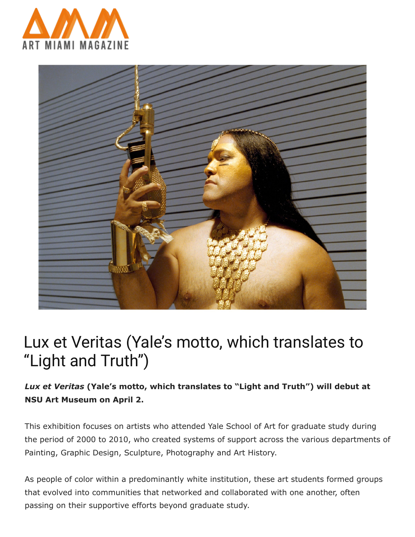



## Lux et Veritas (Yale's motto, which translates to "Light and Truth")

## *Lux et Veritas* **(Yale's motto, which translates to "Light and Truth") will debut at NSU Art Museum on April 2.**

This exhibition focuses on artists who attended Yale School of Art for graduate study during the period of 2000 to 2010, who created systems of support across the various departments of Painting, Graphic Design, Sculpture, Photography and Art History.

As people of color within a predominantly white institution, these art students formed groups that evolved into communities that networked and collaborated with one another, often passing on their supportive efforts beyond graduate study.